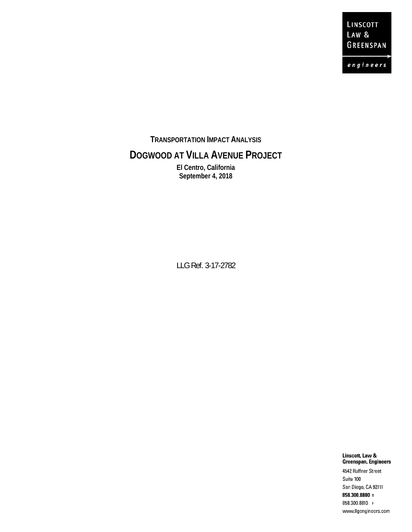LINSCOTT LAW & GREENSPAN

 $e$  n g i n e e r s

**TRANSPORTATION IMPACT ANALYSIS**

### **DOGWOOD AT VILLA AVENUE PROJECT**

**El Centro, California September 4, 2018**

LLG Ref. 3-17-2782

Linscott, Law & Greenspan, Engineers 4542 Ruffner Street Suite 100 San Diego, CA 92111 858.300.8800 T 858.300.8810 F www.llgengineers.com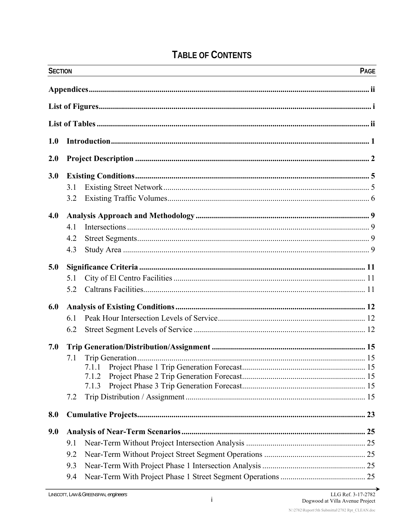# **TABLE OF CONTENTS**

| <b>SECTION</b> |     |                | PAGE |
|----------------|-----|----------------|------|
|                |     |                |      |
|                |     |                |      |
|                |     |                |      |
| 1.0            |     |                |      |
| 2.0            |     |                |      |
| 3.0            |     |                |      |
|                | 3.1 |                |      |
|                | 3.2 |                |      |
| 4.0            |     |                |      |
|                | 4.1 |                |      |
|                | 4.2 |                |      |
|                | 4.3 |                |      |
| 5.0            |     |                |      |
|                | 5.1 |                |      |
|                | 5.2 |                |      |
| 6.0            |     |                |      |
|                | 6.1 |                |      |
|                | 6.2 |                |      |
| 7.0            |     |                |      |
|                | 7.1 |                |      |
|                |     |                |      |
|                |     | 7.1.2<br>7.1.3 |      |
|                | 7.2 |                |      |
| 8.0            |     |                |      |
| 9.0            |     |                |      |
|                | 9.1 |                |      |
|                | 9.2 |                |      |
|                | 9.3 |                |      |
|                | 9.4 |                |      |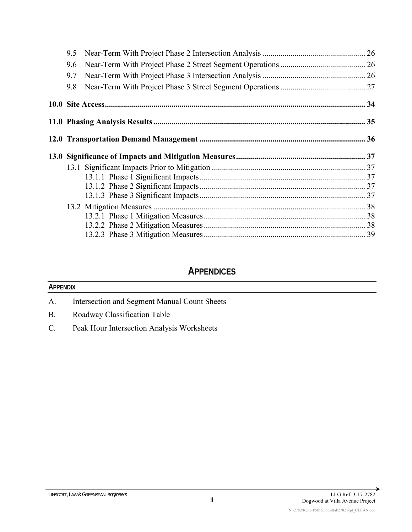| 9.5 |  |
|-----|--|
| 9.6 |  |
| 9.7 |  |
| 9.8 |  |
|     |  |
|     |  |
|     |  |
|     |  |
|     |  |
|     |  |
|     |  |
|     |  |
|     |  |
|     |  |
|     |  |
|     |  |
|     |  |

### **APPENDICES**

#### **APPENDIX**

- A. Intersection and Segment Manual Count Sheets
- B. Roadway Classification Table
- C. Peak Hour Intersection Analysis Worksheets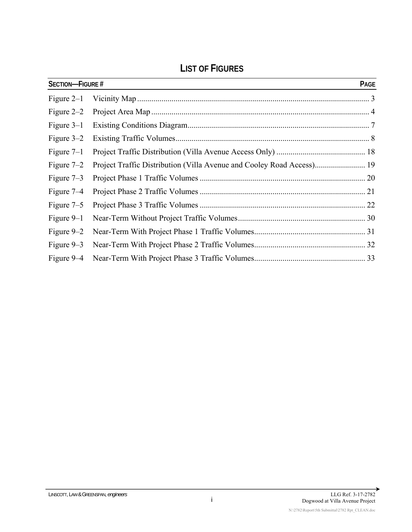# **LIST OF FIGURES**

| <b>SECTION-FIGURE #</b> |                                                                       | PAGE |
|-------------------------|-----------------------------------------------------------------------|------|
| Figure $2-1$            |                                                                       |      |
| Figure $2-2$            |                                                                       |      |
| Figure $3-1$            |                                                                       |      |
| Figure $3-2$            |                                                                       |      |
| Figure $7-1$            |                                                                       |      |
| Figure $7-2$            | Project Traffic Distribution (Villa Avenue and Cooley Road Access) 19 |      |
| Figure $7-3$            |                                                                       |      |
| Figure 7–4              |                                                                       |      |
| Figure $7-5$            |                                                                       |      |
| Figure $9-1$            |                                                                       |      |
| Figure $9-2$            |                                                                       |      |
| Figure $9-3$            |                                                                       |      |
|                         |                                                                       |      |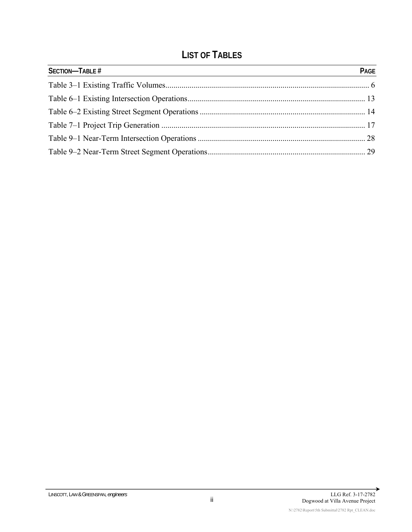# **LIST OF TABLES**

| <b>SECTION-TABLE #</b> | PAGE |
|------------------------|------|
|                        |      |
|                        |      |
|                        |      |
|                        |      |
|                        |      |
|                        |      |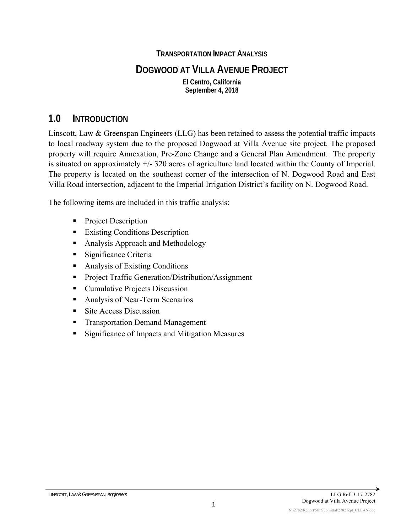#### **TRANSPORTATION IMPACT ANALYSIS**

### **DOGWOOD AT VILLA AVENUE PROJECT**

**El Centro, California September 4, 2018**

### **1.0 INTRODUCTION**

Linscott, Law & Greenspan Engineers (LLG) has been retained to assess the potential traffic impacts to local roadway system due to the proposed Dogwood at Villa Avenue site project. The proposed property will require Annexation, Pre-Zone Change and a General Plan Amendment. The property is situated on approximately +/- 320 acres of agriculture land located within the County of Imperial. The property is located on the southeast corner of the intersection of N. Dogwood Road and East Villa Road intersection, adjacent to the Imperial Irrigation District's facility on N. Dogwood Road.

The following items are included in this traffic analysis:

- Project Description
- **Existing Conditions Description**
- Analysis Approach and Methodology
- **Significance Criteria**
- Analysis of Existing Conditions
- **Project Traffic Generation/Distribution/Assignment**
- Cumulative Projects Discussion
- **Analysis of Near-Term Scenarios**
- Site Access Discussion
- **Transportation Demand Management**
- **Significance of Impacts and Mitigation Measures**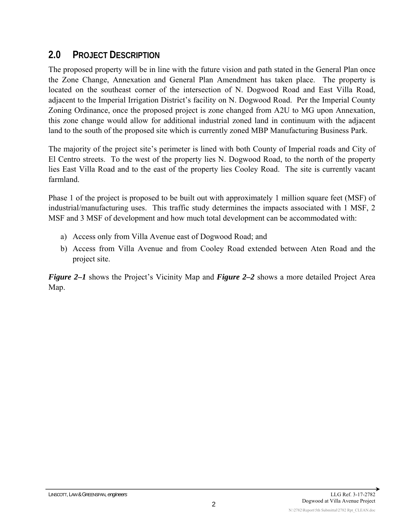# **2.0 PROJECT DESCRIPTION**

The proposed property will be in line with the future vision and path stated in the General Plan once the Zone Change, Annexation and General Plan Amendment has taken place. The property is located on the southeast corner of the intersection of N. Dogwood Road and East Villa Road, adjacent to the Imperial Irrigation District's facility on N. Dogwood Road. Per the Imperial County Zoning Ordinance, once the proposed project is zone changed from A2U to MG upon Annexation, this zone change would allow for additional industrial zoned land in continuum with the adjacent land to the south of the proposed site which is currently zoned MBP Manufacturing Business Park.

The majority of the project site's perimeter is lined with both County of Imperial roads and City of El Centro streets. To the west of the property lies N. Dogwood Road, to the north of the property lies East Villa Road and to the east of the property lies Cooley Road. The site is currently vacant farmland.

Phase 1 of the project is proposed to be built out with approximately 1 million square feet (MSF) of industrial/manufacturing uses. This traffic study determines the impacts associated with 1 MSF, 2 MSF and 3 MSF of development and how much total development can be accommodated with:

- a) Access only from Villa Avenue east of Dogwood Road; and
- b) Access from Villa Avenue and from Cooley Road extended between Aten Road and the project site.

*Figure 2–1* shows the Project's Vicinity Map and *Figure 2–2* shows a more detailed Project Area Map.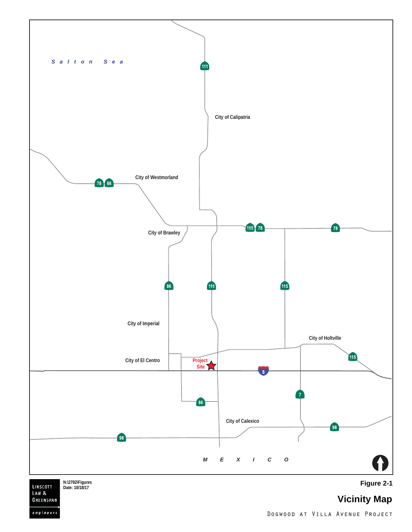

 $engineers$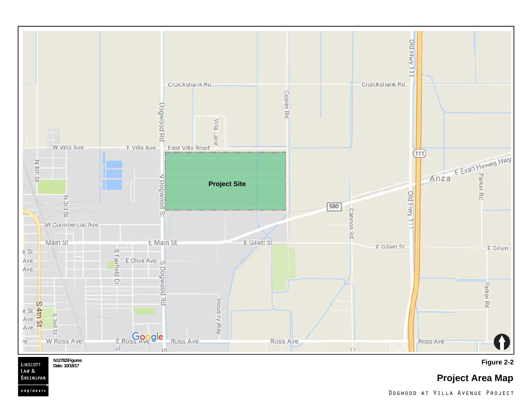

LINSCOTT LAW<sub>&</sub> GREENSPAN engineer:

**Figure 2-2 N:\2782\Figures Date: 10/18/17**

**Project Area Map**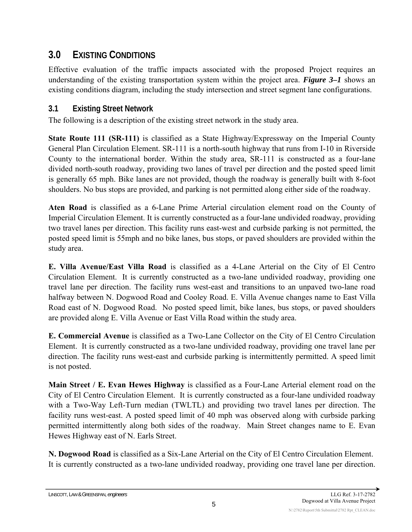# **3.0 EXISTING CONDITIONS**

Effective evaluation of the traffic impacts associated with the proposed Project requires an understanding of the existing transportation system within the project area. *Figure 3–1* shows an existing conditions diagram, including the study intersection and street segment lane configurations.

### **3.1 Existing Street Network**

The following is a description of the existing street network in the study area.

**State Route 111 (SR-111)** is classified as a State Highway/Expressway on the Imperial County General Plan Circulation Element. SR-111 is a north-south highway that runs from I-10 in Riverside County to the international border. Within the study area, SR-111 is constructed as a four-lane divided north-south roadway, providing two lanes of travel per direction and the posted speed limit is generally 65 mph. Bike lanes are not provided, though the roadway is generally built with 8-foot shoulders. No bus stops are provided, and parking is not permitted along either side of the roadway.

**Aten Road** is classified as a 6-Lane Prime Arterial circulation element road on the County of Imperial Circulation Element. It is currently constructed as a four-lane undivided roadway, providing two travel lanes per direction. This facility runs east-west and curbside parking is not permitted, the posted speed limit is 55mph and no bike lanes, bus stops, or paved shoulders are provided within the study area.

**E. Villa Avenue/East Villa Road** is classified as a 4-Lane Arterial on the City of El Centro Circulation Element. It is currently constructed as a two-lane undivided roadway, providing one travel lane per direction. The facility runs west-east and transitions to an unpaved two-lane road halfway between N. Dogwood Road and Cooley Road. E. Villa Avenue changes name to East Villa Road east of N. Dogwood Road. No posted speed limit, bike lanes, bus stops, or paved shoulders are provided along E. Villa Avenue or East Villa Road within the study area.

**E. Commercial Avenue** is classified as a Two-Lane Collector on the City of El Centro Circulation Element. It is currently constructed as a two-lane undivided roadway, providing one travel lane per direction. The facility runs west-east and curbside parking is intermittently permitted. A speed limit is not posted.

**Main Street / E. Evan Hewes Highway** is classified as a Four-Lane Arterial element road on the City of El Centro Circulation Element. It is currently constructed as a four-lane undivided roadway with a Two-Way Left-Turn median (TWLTL) and providing two travel lanes per direction. The facility runs west-east. A posted speed limit of 40 mph was observed along with curbside parking permitted intermittently along both sides of the roadway. Main Street changes name to E. Evan Hewes Highway east of N. Earls Street.

**N. Dogwood Road** is classified as a Six-Lane Arterial on the City of El Centro Circulation Element. It is currently constructed as a two-lane undivided roadway, providing one travel lane per direction.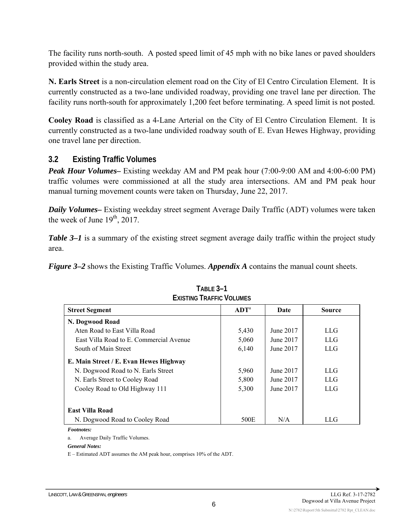The facility runs north-south. A posted speed limit of 45 mph with no bike lanes or paved shoulders provided within the study area.

**N. Earls Street** is a non-circulation element road on the City of El Centro Circulation Element. It is currently constructed as a two-lane undivided roadway, providing one travel lane per direction. The facility runs north-south for approximately 1,200 feet before terminating. A speed limit is not posted.

**Cooley Road** is classified as a 4-Lane Arterial on the City of El Centro Circulation Element. It is currently constructed as a two-lane undivided roadway south of E. Evan Hewes Highway, providing one travel lane per direction.

#### **3.2 Existing Traffic Volumes**

*Peak Hour Volumes–* Existing weekday AM and PM peak hour (7:00-9:00 AM and 4:00-6:00 PM) traffic volumes were commissioned at all the study area intersections. AM and PM peak hour manual turning movement counts were taken on Thursday, June 22, 2017.

*Daily Volumes–* Existing weekday street segment Average Daily Traffic (ADT) volumes were taken the week of June  $19<sup>th</sup>$ , 2017.

*Table 3–1* is a summary of the existing street segment average daily traffic within the project study area.

*Figure 3–2* shows the Existing Traffic Volumes. *Appendix A* contains the manual count sheets.

| <b>Street Segment</b>                   | ADT <sup>a</sup> | Date      | <b>Source</b> |  |  |  |  |  |  |  |  |  |
|-----------------------------------------|------------------|-----------|---------------|--|--|--|--|--|--|--|--|--|
| N. Dogwood Road                         |                  |           |               |  |  |  |  |  |  |  |  |  |
| Aten Road to East Villa Road            | 5,430            | June 2017 | LLG           |  |  |  |  |  |  |  |  |  |
| East Villa Road to E. Commercial Avenue | 5,060            | June 2017 | LLG           |  |  |  |  |  |  |  |  |  |
| South of Main Street                    | 6,140            | June 2017 | <b>LLG</b>    |  |  |  |  |  |  |  |  |  |
| E. Main Street / E. Evan Hewes Highway  |                  |           |               |  |  |  |  |  |  |  |  |  |
| N. Dogwood Road to N. Earls Street      | 5,960            | June 2017 | LLG           |  |  |  |  |  |  |  |  |  |
| N. Earls Street to Cooley Road          | 5,800            | June 2017 | <b>LLG</b>    |  |  |  |  |  |  |  |  |  |
| Cooley Road to Old Highway 111          | 5,300            | June 2017 | LLG           |  |  |  |  |  |  |  |  |  |
| <b>East Villa Road</b>                  |                  |           |               |  |  |  |  |  |  |  |  |  |
| N. Dogwood Road to Cooley Road          | 500E             | N/A       | LLG           |  |  |  |  |  |  |  |  |  |

| TABLE 3-1                       |
|---------------------------------|
| <b>EXISTING TRAFFIC VOLUMES</b> |

*Footnotes:* 

a. Average Daily Traffic Volumes.

*General Notes:* 

E – Estimated ADT assumes the AM peak hour, comprises 10% of the ADT.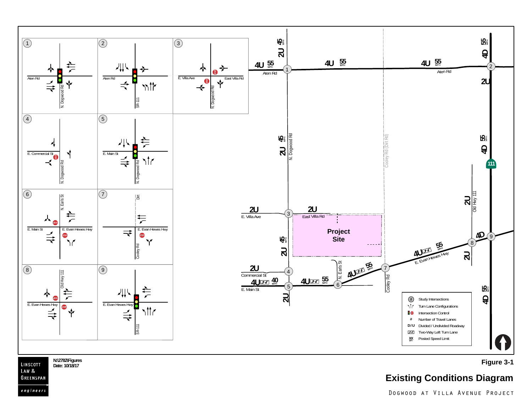

LINSCOTT LAW<sub>&</sub> GREENSPAN engineers

N:\2782\Figures **Proposes and Contract Contract Contract Contract Contract Contract Contract Contract Contract Contract Contract Contract Contract Contract Contract Contract Contract Contract Contract Contract Contract Con** 

# **Existing Conditions Diagram**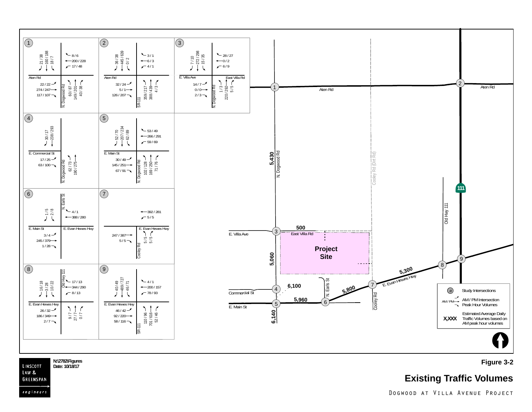

LINSCOTT Date: 10/18/17 LAW & GREENSPAN

engineers

#### N:\2782\Figures **Figure 3-2**<br>Date: 10/18/17

### **Existing Traffic Volumes**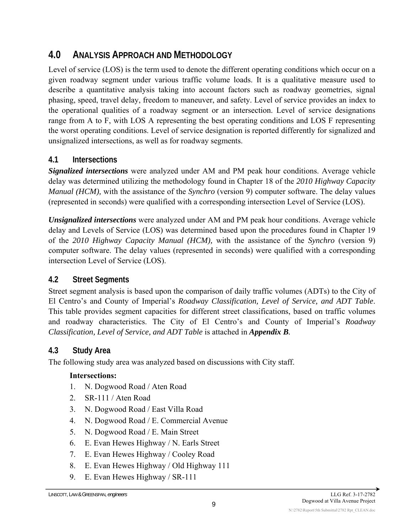# **4.0 ANALYSIS APPROACH AND METHODOLOGY**

Level of service (LOS) is the term used to denote the different operating conditions which occur on a given roadway segment under various traffic volume loads. It is a qualitative measure used to describe a quantitative analysis taking into account factors such as roadway geometries, signal phasing, speed, travel delay, freedom to maneuver, and safety. Level of service provides an index to the operational qualities of a roadway segment or an intersection. Level of service designations range from A to F, with LOS A representing the best operating conditions and LOS F representing the worst operating conditions. Level of service designation is reported differently for signalized and unsignalized intersections, as well as for roadway segments.

### **4.1 Intersections**

*Signalized intersections* were analyzed under AM and PM peak hour conditions. Average vehicle delay was determined utilizing the methodology found in Chapter 18 of the *2010 Highway Capacity Manual (HCM),* with the assistance of the *Synchro* (version 9) computer software. The delay values (represented in seconds) were qualified with a corresponding intersection Level of Service (LOS).

*Unsignalized intersections* were analyzed under AM and PM peak hour conditions. Average vehicle delay and Levels of Service (LOS) was determined based upon the procedures found in Chapter 19 of the *2010 Highway Capacity Manual (HCM),* with the assistance of the *Synchro* (version 9) computer software. The delay values (represented in seconds) were qualified with a corresponding intersection Level of Service (LOS).

### **4.2 Street Segments**

Street segment analysis is based upon the comparison of daily traffic volumes (ADTs) to the City of El Centro's and County of Imperial's *Roadway Classification, Level of Service, and ADT Table*. This table provides segment capacities for different street classifications, based on traffic volumes and roadway characteristics. The City of El Centro's and County of Imperial's *Roadway Classification, Level of Service, and ADT Table* is attached in *Appendix B.* 

### **4.3 Study Area**

The following study area was analyzed based on discussions with City staff.

#### **Intersections:**

- 1. N. Dogwood Road / Aten Road
- 2. SR-111 / Aten Road
- 3. N. Dogwood Road / East Villa Road
- 4. N. Dogwood Road / E. Commercial Avenue
- 5. N. Dogwood Road / E. Main Street
- 6. E. Evan Hewes Highway / N. Earls Street
- 7. E. Evan Hewes Highway / Cooley Road
- 8. E. Evan Hewes Highway / Old Highway 111
- 9. E. Evan Hewes Highway / SR-111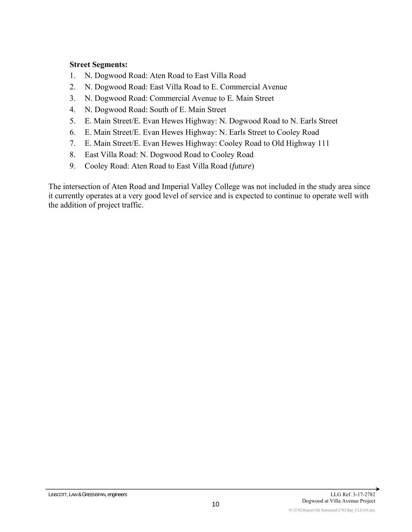#### **Street Segments:**

- 1. N. Dogwood Road: Aten Road to East Villa Road
- 2. N. Dogwood Road: East Villa Road to E. Commercial Avenue
- 3. N. Dogwood Road: Commercial Avenue to E. Main Street
- 4. N. Dogwood Road: South of E. Main Street
- 5. E. Main Street/E. Evan Hewes Highway: N. Dogwood Road to N. Earls Street
- 6. E. Main Street/E. Evan Hewes Highway: N. Earls Street to Cooley Road
- 7. E. Main Street/E. Evan Hewes Highway: Cooley Road to Old Highway 111
- 8. East Villa Road: N. Dogwood Road to Cooley Road
- 9. Cooley Road: Aten Road to East Villa Road (*future*)

The intersection of Aten Road and Imperial Valley College was not included in the study area since it currently operates at a very good level of service and is expected to continue to operate well with the addition of project traffic.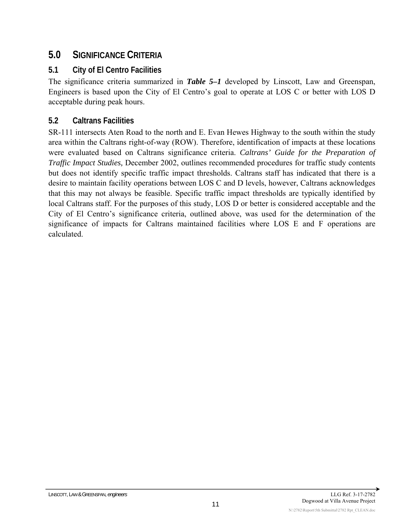# **5.0 SIGNIFICANCE CRITERIA**

### **5.1 City of El Centro Facilities**

The significance criteria summarized in *Table 5–1* developed by Linscott, Law and Greenspan, Engineers is based upon the City of El Centro's goal to operate at LOS C or better with LOS D acceptable during peak hours.

### **5.2 Caltrans Facilities**

SR-111 intersects Aten Road to the north and E. Evan Hewes Highway to the south within the study area within the Caltrans right-of-way (ROW). Therefore, identification of impacts at these locations were evaluated based on Caltrans significance criteria. *Caltrans' Guide for the Preparation of Traffic Impact Studies,* December 2002, outlines recommended procedures for traffic study contents but does not identify specific traffic impact thresholds. Caltrans staff has indicated that there is a desire to maintain facility operations between LOS C and D levels, however, Caltrans acknowledges that this may not always be feasible. Specific traffic impact thresholds are typically identified by local Caltrans staff. For the purposes of this study, LOS D or better is considered acceptable and the City of El Centro's significance criteria, outlined above, was used for the determination of the significance of impacts for Caltrans maintained facilities where LOS E and F operations are calculated.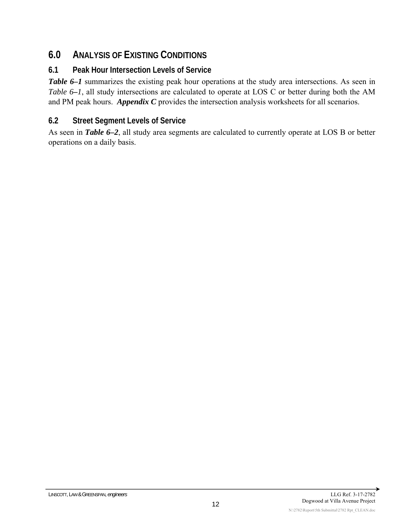# **6.0 ANALYSIS OF EXISTING CONDITIONS**

### **6.1 Peak Hour Intersection Levels of Service**

*Table 6–1* summarizes the existing peak hour operations at the study area intersections. As seen in *Table 6–1*, all study intersections are calculated to operate at LOS C or better during both the AM and PM peak hours. *Appendix C* provides the intersection analysis worksheets for all scenarios.

### **6.2 Street Segment Levels of Service**

As seen in *Table 6–2*, all study area segments are calculated to currently operate at LOS B or better operations on a daily basis.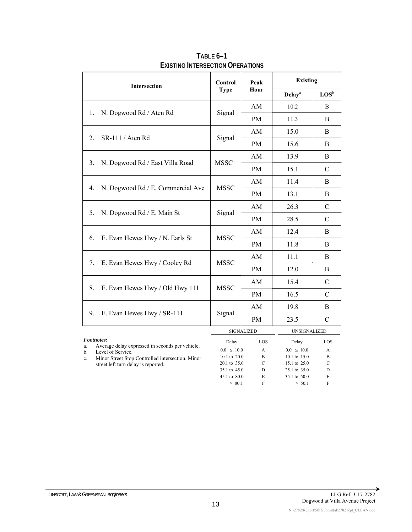| Intersection                                                        | <b>Control</b>               | Peak               | <b>Existing</b>              |                             |  |  |  |
|---------------------------------------------------------------------|------------------------------|--------------------|------------------------------|-----------------------------|--|--|--|
|                                                                     | <b>Type</b>                  | Hour               | <b>Delay</b> <sup>a</sup>    | $\mathbf{LOS}^{\mathsf{b}}$ |  |  |  |
|                                                                     |                              | AM                 | 10.2                         | B                           |  |  |  |
| N. Dogwood Rd / Aten Rd<br>1.                                       | Signal                       | <b>PM</b>          | 11.3                         | B                           |  |  |  |
|                                                                     |                              | AM                 | 15.0                         | <sub>B</sub>                |  |  |  |
| SR-111 / Aten Rd<br>2.                                              | Signal                       | <b>PM</b>          | 15.6                         | B                           |  |  |  |
|                                                                     |                              | AM                 | 13.9                         | B                           |  |  |  |
| N. Dogwood Rd / East Villa Road<br>3.                               | MSSC <sup>c</sup>            | <b>PM</b>          | 15.1                         | $\mathcal{C}$               |  |  |  |
|                                                                     |                              | AM                 | 11.4                         | B                           |  |  |  |
| N. Dogwood Rd / E. Commercial Ave<br>4.                             | <b>MSSC</b>                  | <b>PM</b>          | 13.1                         | B                           |  |  |  |
|                                                                     |                              | AM                 | 26.3                         | $\mathcal{C}$               |  |  |  |
| 5.<br>N. Dogwood Rd / E. Main St                                    | Signal                       | <b>PM</b>          | 28.5                         | $\mathcal{C}$               |  |  |  |
|                                                                     |                              | AM                 | 12.4                         | B                           |  |  |  |
| E. Evan Hewes Hwy / N. Earls St<br>6.                               | <b>MSSC</b>                  | <b>PM</b>          | 11.8                         | B                           |  |  |  |
|                                                                     |                              | AM                 | 11.1                         | B                           |  |  |  |
| E. Evan Hewes Hwy / Cooley Rd<br>7.                                 | <b>MSSC</b>                  | <b>PM</b>          | 12.0                         | B                           |  |  |  |
|                                                                     |                              | AM                 | 15.4                         | $\mathcal{C}$               |  |  |  |
| 8.<br>E. Evan Hewes Hwy / Old Hwy 111                               | <b>MSSC</b>                  | <b>PM</b>          | 16.5                         | $\mathcal{C}$               |  |  |  |
|                                                                     |                              | AM                 | 19.8                         | B                           |  |  |  |
| 9.<br>E. Evan Hewes Hwy / SR-111                                    | Signal                       | PM                 | 23.5                         | $\mathcal{C}$               |  |  |  |
|                                                                     |                              | <b>SIGNALIZED</b>  | UNSIGNALIZED                 |                             |  |  |  |
| Footnotes:<br>Average delay expressed in seconds per vehicle.<br>a. | Delay                        | LOS                | Delay                        | LOS                         |  |  |  |
| Level of Service.<br>b.                                             | $0.0 \leq 10.0$              | A                  | $0.0 \leq 10.0$              | A                           |  |  |  |
| Minor Street Stop Controlled intersection. Minor<br>$\mathbf{c}$ .  | 10.1 to 20.0                 | B                  | 10.1 to 15.0                 | B                           |  |  |  |
| street left turn delay is reported.                                 | 20.1 to 35.0<br>35.1 to 45.0 | $\mathcal{C}$<br>D | 15.1 to 25.0<br>25.1 to 35.0 | C<br>D                      |  |  |  |

**TABLE 6–1 EXISTING INTERSECTION OPERATIONS**

→

45.1 to 80.0 E 35.1 to 50.0 E  $\geq 80.1$  F  $\geq 50.1$  F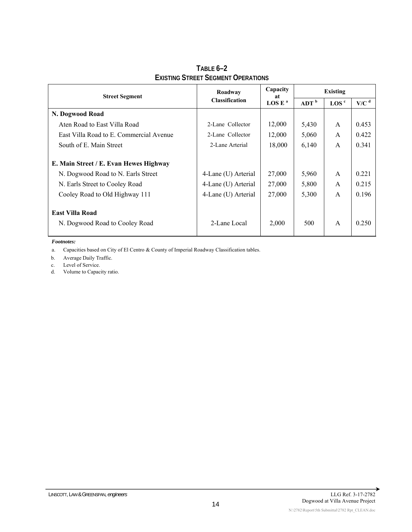| <b>Street Segment</b>                                    | Roadway               | Capacity<br>at     | Existing         |                    |                    |  |  |  |
|----------------------------------------------------------|-----------------------|--------------------|------------------|--------------------|--------------------|--|--|--|
|                                                          | <b>Classification</b> | LOG E <sup>a</sup> | ADT <sup>b</sup> | $\rm{LOS}^{\rm c}$ | $V/C$ <sup>d</sup> |  |  |  |
| N. Dogwood Road                                          |                       |                    |                  |                    |                    |  |  |  |
| Aten Road to East Villa Road                             | 2-Lane Collector      | 12,000             | 5,430            | A                  | 0.453              |  |  |  |
| East Villa Road to E. Commercial Avenue                  | 2-Lane Collector      | 12,000             | 5,060            | A                  | 0.422              |  |  |  |
| South of E. Main Street                                  | 2-Lane Arterial       | 18,000             | 6,140            | A                  | 0.341              |  |  |  |
| E. Main Street / E. Evan Hewes Highway                   |                       |                    |                  |                    |                    |  |  |  |
| N. Dogwood Road to N. Earls Street                       | 4-Lane (U) Arterial   | 27,000             | 5,960            | $\mathsf{A}$       | 0.221              |  |  |  |
| N. Earls Street to Cooley Road                           | 4-Lane (U) Arterial   | 27,000             | 5,800            | A                  | 0.215              |  |  |  |
| Cooley Road to Old Highway 111                           | 4-Lane (U) Arterial   | 27,000             | 5,300            | $\mathsf{A}$       | 0.196              |  |  |  |
| <b>East Villa Road</b><br>N. Dogwood Road to Cooley Road | 2-Lane Local          | 2,000              | 500              | $\mathsf{A}$       | 0.250              |  |  |  |

**TABLE 6–2 EXISTING STREET SEGMENT OPERATIONS**

*Footnotes:* 

a. Capacities based on City of El Centro & County of Imperial Roadway Classification tables.

b. Average Daily Traffic.

c. Level of Service.

d. Volume to Capacity ratio.

→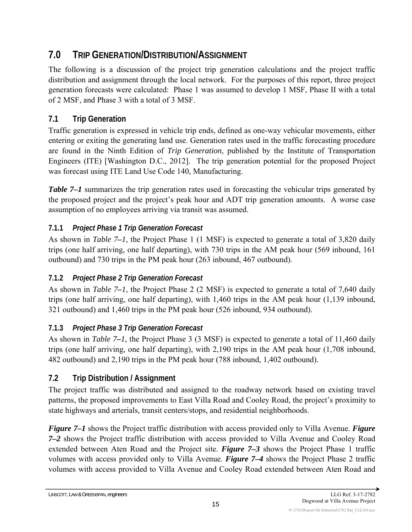# **7.0 TRIP GENERATION/DISTRIBUTION/ASSIGNMENT**

The following is a discussion of the project trip generation calculations and the project traffic distribution and assignment through the local network. For the purposes of this report, three project generation forecasts were calculated: Phase 1 was assumed to develop 1 MSF, Phase II with a total of 2 MSF, and Phase 3 with a total of 3 MSF.

# **7.1 Trip Generation**

Traffic generation is expressed in vehicle trip ends, defined as one-way vehicular movements, either entering or exiting the generating land use. Generation rates used in the traffic forecasting procedure are found in the Ninth Edition of *Trip Generation*, published by the Institute of Transportation Engineers (ITE) [Washington D.C., 2012]. The trip generation potential for the proposed Project was forecast using ITE Land Use Code 140, Manufacturing.

*Table 7–1* summarizes the trip generation rates used in forecasting the vehicular trips generated by the proposed project and the project's peak hour and ADT trip generation amounts. A worse case assumption of no employees arriving via transit was assumed.

### **7.1.1** *Project Phase 1 Trip Generation Forecast*

As shown in *Table 7–1*, the Project Phase 1 (1 MSF) is expected to generate a total of 3,820 daily trips (one half arriving, one half departing), with 730 trips in the AM peak hour (569 inbound, 161 outbound) and 730 trips in the PM peak hour (263 inbound, 467 outbound).

### **7.1.2** *Project Phase 2 Trip Generation Forecast*

As shown in *Table 7–1*, the Project Phase 2 (2 MSF) is expected to generate a total of 7,640 daily trips (one half arriving, one half departing), with 1,460 trips in the AM peak hour (1,139 inbound, 321 outbound) and 1,460 trips in the PM peak hour (526 inbound, 934 outbound).

### **7.1.3** *Project Phase 3 Trip Generation Forecast*

As shown in *Table 7–1*, the Project Phase 3 (3 MSF) is expected to generate a total of 11,460 daily trips (one half arriving, one half departing), with 2,190 trips in the AM peak hour (1,708 inbound, 482 outbound) and 2,190 trips in the PM peak hour (788 inbound, 1,402 outbound).

### **7.2 Trip Distribution / Assignment**

The project traffic was distributed and assigned to the roadway network based on existing travel patterns, the proposed improvements to East Villa Road and Cooley Road, the project's proximity to state highways and arterials, transit centers/stops, and residential neighborhoods.

*Figure 7–1* shows the Project traffic distribution with access provided only to Villa Avenue. *Figure 7–2* shows the Project traffic distribution with access provided to Villa Avenue and Cooley Road extended between Aten Road and the Project site. *Figure 7–3* shows the Project Phase 1 traffic volumes with access provided only to Villa Avenue. *Figure 7–4* shows the Project Phase 2 traffic volumes with access provided to Villa Avenue and Cooley Road extended between Aten Road and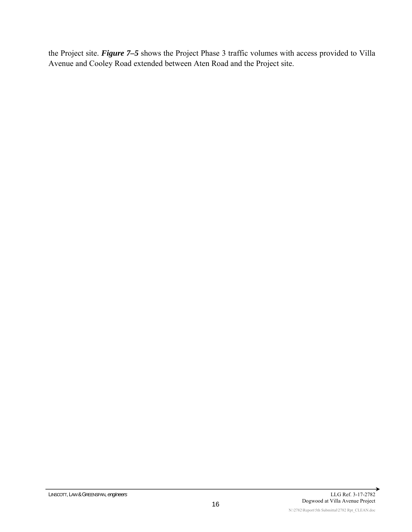the Project site. *Figure 7–5* shows the Project Phase 3 traffic volumes with access provided to Villa Avenue and Cooley Road extended between Aten Road and the Project site.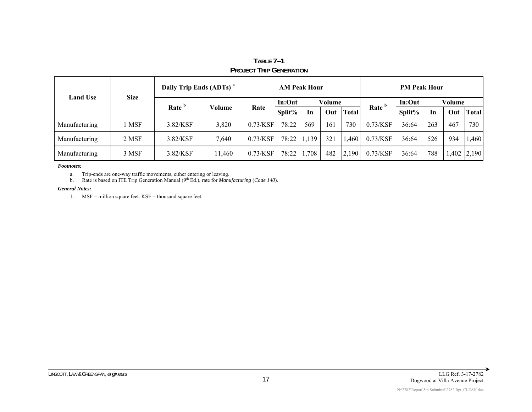| <b>Land Use</b> | <b>Size</b> | Daily Trip Ends (ADTs) <sup>a</sup> |        |             | <b>AM Peak Hour</b> |       |        |              | <b>PM Peak Hour</b> |        |        |      |              |  |
|-----------------|-------------|-------------------------------------|--------|-------------|---------------------|-------|--------|--------------|---------------------|--------|--------|------|--------------|--|
|                 |             | Rate <sup>b</sup>                   |        |             | In:Out              |       | Volume |              |                     | In:Out | Volume |      |              |  |
|                 |             |                                     | Volume | Rate        | Split $%$           | In    | Out    | <b>Total</b> | Rate <sup>b</sup>   | Split% | In     | Out  | <b>Total</b> |  |
| Manufacturing   | MSF         | $3.82$ /KSF                         | 3,820  | $0.73$ /KSF | 78:22               | 569   | 161    | 730          | $0.73$ /KSF         | 36:64  | 263    | 467  | 730          |  |
| Manufacturing   | 2 MSF       | 3.82/KSF                            | 7,640  | $0.73$ /KSF | 78:22   1,139       |       | 321    | .460         | $0.73$ /KSF         | 36:64  | 526    | 934  | 1,460        |  |
| Manufacturing   | 3 MSF       | $3.82$ /KSF                         | 11,460 | $0.73$ /KSF | 78:22               | 1,708 | 482    | 2,190        | $0.73$ /KSF         | 36:64  | 788    | .402 | 2,190        |  |

#### **TABLE 7–1 PROJECT TRIP GENERATION**

*Footnotes:* 

a.Trip-ends are one-way traffic movements, either entering or leaving.

b.Rate is based on ITE Trip Generation Manual (9<sup>th</sup> Ed.), rate for *Manufacturing* (*Code 140*).

#### *General Notes:*

1. MSF = million square feet. KSF = thousand square feet.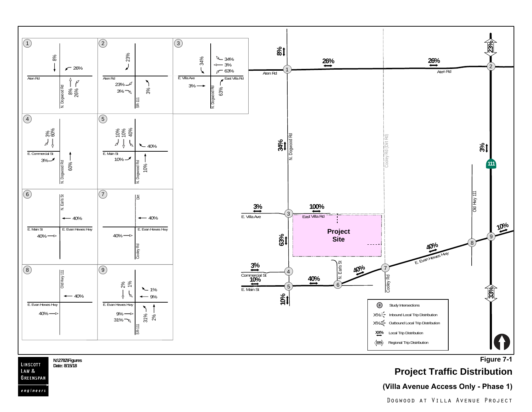

**N:\2782\Figures Date: 8/15/18**

LINSCOTT LAW<sub>&</sub> GREENSPAN engineers

**Figure 7-1**

# **Project Traffic Distribution**

#### **(Villa Avenue Access Only - Phase 1)**

Dogwood at Villa Avenue Project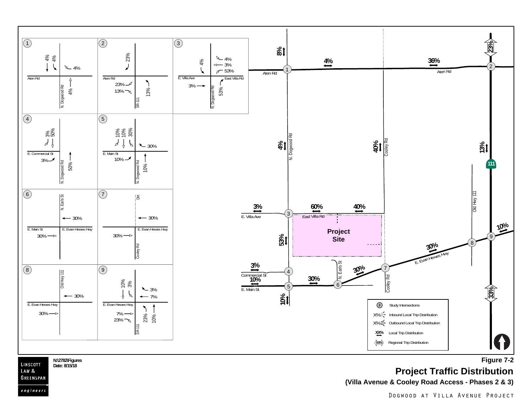

**Project Traffic Distribution**

**(Villa Avenue & Cooley Road Access - Phases 2 & 3)**

LINSCOTT **Date: 8/15/18** LAW<sub>&</sub> GREENSPAN

engineers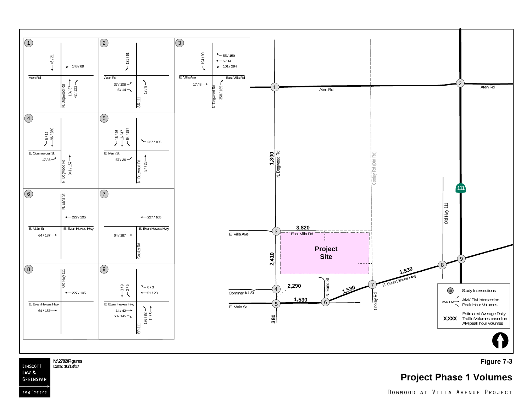

**Figure 7-3**

**Project Phase 1 Volumes**

**N:\2782\Figures** LINSCOTT **Date: 10/18/17**LAW & GREENSPAN

engineers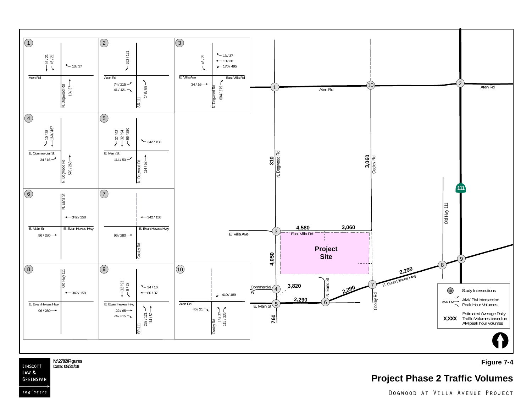

N:\2782\Figures **Figure 7-4 Properties Figure 7-4** Date: 08/31/18 LINSCOTT Date: 08/31/18 GREENSPAN

# **Project Phase 2 Traffic Volumes**

LAW &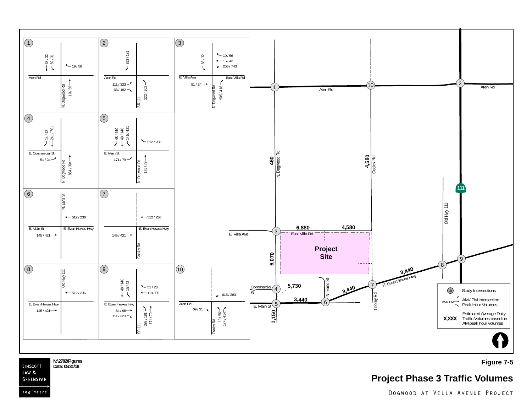

LINSCOTT Date: 08/31/18 LAW & GREENSPAN

engineers

#### N:\2782\Figures **Figure 7-5 Properties Properties Properties Properties Properties**

# **Project Phase 3 Traffic Volumes**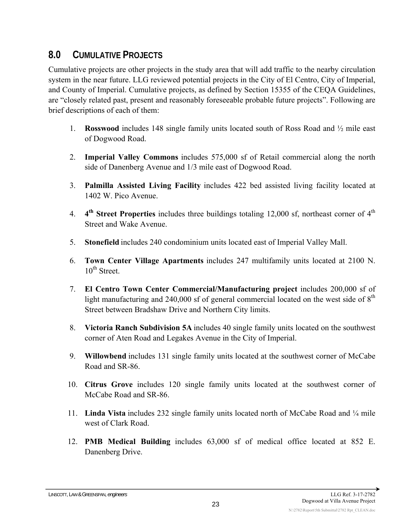# **8.0 CUMULATIVE PROJECTS**

Cumulative projects are other projects in the study area that will add traffic to the nearby circulation system in the near future. LLG reviewed potential projects in the City of El Centro, City of Imperial, and County of Imperial. Cumulative projects, as defined by Section 15355 of the CEQA Guidelines, are "closely related past, present and reasonably foreseeable probable future projects". Following are brief descriptions of each of them:

- 1. **Rosswood** includes 148 single family units located south of Ross Road and ½ mile east of Dogwood Road.
- 2. **Imperial Valley Commons** includes 575,000 sf of Retail commercial along the north side of Danenberg Avenue and 1/3 mile east of Dogwood Road.
- 3. **Palmilla Assisted Living Facility** includes 422 bed assisted living facility located at 1402 W. Pico Avenue.
- 4. **4<sup>th</sup> Street Properties** includes three buildings totaling 12,000 sf, northeast corner of 4<sup>th</sup> Street and Wake Avenue.
- 5. **Stonefield** includes 240 condominium units located east of Imperial Valley Mall.
- 6. **Town Center Village Apartments** includes 247 multifamily units located at 2100 N.  $10^{th}$  Street.
- 7. **El Centro Town Center Commercial/Manufacturing project** includes 200,000 sf of light manufacturing and 240,000 sf of general commercial located on the west side of  $8<sup>th</sup>$ Street between Bradshaw Drive and Northern City limits.
- 8. **Victoria Ranch Subdivision 5A** includes 40 single family units located on the southwest corner of Aten Road and Legakes Avenue in the City of Imperial.
- 9. **Willowbend** includes 131 single family units located at the southwest corner of McCabe Road and SR-86.
- 10. **Citrus Grove** includes 120 single family units located at the southwest corner of McCabe Road and SR-86.
- 11. **Linda Vista** includes 232 single family units located north of McCabe Road and ¼ mile west of Clark Road.
- 12. **PMB Medical Building** includes 63,000 sf of medical office located at 852 E. Danenberg Drive.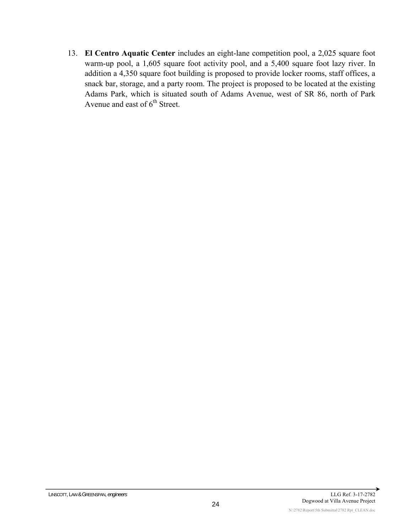13. **El Centro Aquatic Center** includes an eight-lane competition pool, a 2,025 square foot warm-up pool, a 1,605 square foot activity pool, and a 5,400 square foot lazy river. In addition a 4,350 square foot building is proposed to provide locker rooms, staff offices, a snack bar, storage, and a party room. The project is proposed to be located at the existing Adams Park, which is situated south of Adams Avenue, west of SR 86, north of Park Avenue and east of  $6<sup>th</sup>$  Street.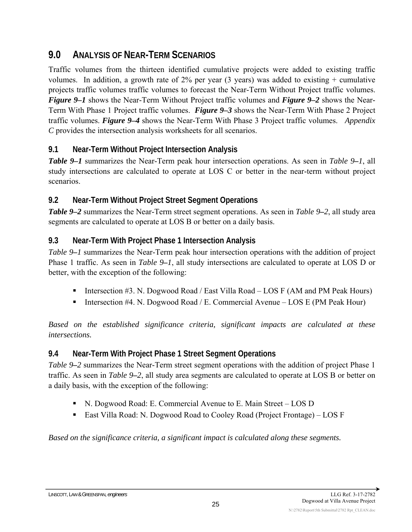# **9.0 ANALYSIS OF NEAR-TERM SCENARIOS**

Traffic volumes from the thirteen identified cumulative projects were added to existing traffic volumes. In addition, a growth rate of  $2\%$  per year (3 years) was added to existing + cumulative projects traffic volumes traffic volumes to forecast the Near-Term Without Project traffic volumes. *Figure 9–1* shows the Near-Term Without Project traffic volumes and *Figure 9–2* shows the Near-Term With Phase 1 Project traffic volumes. *Figure 9–3* shows the Near-Term With Phase 2 Project traffic volumes. *Figure 9–4* shows the Near-Term With Phase 3 Project traffic volumes. *Appendix C* provides the intersection analysis worksheets for all scenarios.

### **9.1 Near-Term Without Project Intersection Analysis**

*Table 9–1* summarizes the Near-Term peak hour intersection operations. As seen in *Table 9–1*, all study intersections are calculated to operate at LOS C or better in the near-term without project scenarios.

### **9.2 Near-Term Without Project Street Segment Operations**

*Table 9–2* summarizes the Near-Term street segment operations. As seen in *Table 9–2*, all study area segments are calculated to operate at LOS B or better on a daily basis.

### **9.3 Near-Term With Project Phase 1 Intersection Analysis**

*Table 9–1* summarizes the Near-Term peak hour intersection operations with the addition of project Phase 1 traffic. As seen in *Table 9–1*, all study intersections are calculated to operate at LOS D or better, with the exception of the following:

- Intersection  $\#3$ . N. Dogwood Road / East Villa Road LOS F (AM and PM Peak Hours)
- Intersection #4. N. Dogwood Road / E. Commercial Avenue LOS E (PM Peak Hour)

*Based on the established significance criteria, significant impacts are calculated at these intersections.* 

### **9.4 Near-Term With Project Phase 1 Street Segment Operations**

*Table 9–2* summarizes the Near-Term street segment operations with the addition of project Phase 1 traffic. As seen in *Table 9–2*, all study area segments are calculated to operate at LOS B or better on a daily basis, with the exception of the following:

- N. Dogwood Road: E. Commercial Avenue to E. Main Street LOS D
- East Villa Road: N. Dogwood Road to Cooley Road (Project Frontage) LOS F

*Based on the significance criteria, a significant impact is calculated along these segments.*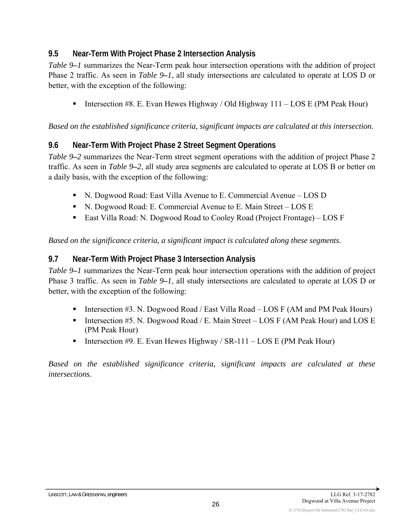### **9.5 Near-Term With Project Phase 2 Intersection Analysis**

*Table 9–1* summarizes the Near-Term peak hour intersection operations with the addition of project Phase 2 traffic. As seen in *Table 9–1*, all study intersections are calculated to operate at LOS D or better, with the exception of the following:

Intersection #8. E. Evan Hewes Highway / Old Highway  $111 - LOS E$  (PM Peak Hour)

*Based on the established significance criteria, significant impacts are calculated at this intersection.* 

#### **9.6 Near-Term With Project Phase 2 Street Segment Operations**

*Table 9–2* summarizes the Near-Term street segment operations with the addition of project Phase 2 traffic. As seen in *Table 9–2*, all study area segments are calculated to operate at LOS B or better on a daily basis, with the exception of the following:

- N. Dogwood Road: East Villa Avenue to E. Commercial Avenue LOS D
- N. Dogwood Road: E. Commercial Avenue to E. Main Street LOS E
- East Villa Road: N. Dogwood Road to Cooley Road (Project Frontage) LOS F

*Based on the significance criteria, a significant impact is calculated along these segments.* 

#### **9.7 Near-Term With Project Phase 3 Intersection Analysis**

*Table 9–1* summarizes the Near-Term peak hour intersection operations with the addition of project Phase 3 traffic. As seen in *Table 9–1*, all study intersections are calculated to operate at LOS D or better, with the exception of the following:

- Intersection  $#3$ . N. Dogwood Road / East Villa Road LOS F (AM and PM Peak Hours)
- Intersection #5. N. Dogwood Road / E. Main Street LOS F (AM Peak Hour) and LOS E (PM Peak Hour)
- Intersection #9. E. Evan Hewes Highway / SR-111 LOS E (PM Peak Hour)

*Based on the established significance criteria, significant impacts are calculated at these intersections.* 

N:\2782\Report\5th Submittal\2782 Rpt\_CLEAN.doc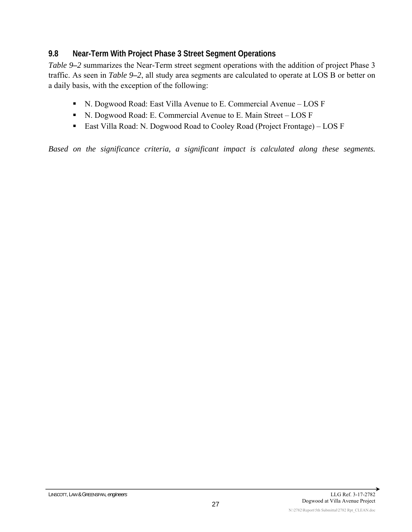#### **9.8 Near-Term With Project Phase 3 Street Segment Operations**

*Table 9–2* summarizes the Near-Term street segment operations with the addition of project Phase 3 traffic. As seen in *Table 9–2*, all study area segments are calculated to operate at LOS B or better on a daily basis, with the exception of the following:

- N. Dogwood Road: East Villa Avenue to E. Commercial Avenue LOS F
- N. Dogwood Road: E. Commercial Avenue to E. Main Street LOS F
- East Villa Road: N. Dogwood Road to Cooley Road (Project Frontage) LOS F

*Based on the significance criteria, a significant impact is calculated along these segments.*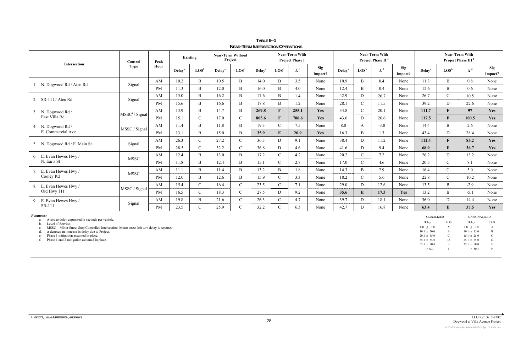|                                                                                                                          | Control                    | Peak      |              | Existing                    |               | <b>Near-Term Without</b><br>Project |               |                             | <b>Near-Term With</b><br><b>Project Phase I</b> |                |                              |                             | <b>Near-Term With</b><br>Project Phase II <sup>e</sup> |                               | <b>Near-Term With</b><br>Project Phase III <sup>f</sup> |                             |                     |                       |  |
|--------------------------------------------------------------------------------------------------------------------------|----------------------------|-----------|--------------|-----------------------------|---------------|-------------------------------------|---------------|-----------------------------|-------------------------------------------------|----------------|------------------------------|-----------------------------|--------------------------------------------------------|-------------------------------|---------------------------------------------------------|-----------------------------|---------------------|-----------------------|--|
| Intersection                                                                                                             | Type                       | Hour      | $\bf Delava$ | $\mathbf{LOS}^{\mathsf{b}}$ | $\bf Delav^a$ | $\mathbf{LOS}^{\mathsf{b}}$         | $\bf Delav^a$ | $\mathbf{LOS}^{\mathsf{b}}$ | $\Delta^d$                                      | Sig<br>Impact? | $\bf Delav^a$                | $\mathbf{LOS}^{\mathsf{b}}$ | $\Delta^d$                                             | <b>Sig</b><br>Impact?         | $\bf Delav^a$                                           | $\mathbf{LOS}^{\mathsf{b}}$ | $\Delta^d$          | <b>Sig</b><br>Impact? |  |
|                                                                                                                          |                            | AM        | 10.2         | B                           | 10.5          | B                                   | 14.0          | $\, {\bf B}$                | 3.5                                             | None           | 10.9                         | $\mathbf B$                 | 0.4                                                    | None                          | 11.3                                                    | $\mathbf{B}$                | 0.8                 | None                  |  |
| 1. N. Dogwood Rd / Aten Rd                                                                                               | Signal                     | <b>PM</b> | 11.3         | B                           | 12.0          | B                                   | 16.0          | $\mathbf{B}$                | 4.0                                             | None           | 12.4                         | $\, {\bf B}$                | 0.4                                                    | None                          | 12.6                                                    | $\mathbf B$                 | 0.6                 | None                  |  |
|                                                                                                                          |                            | AM        | 15.0         | B                           | 16.2          | B                                   | 17.6          | $\mathbf B$                 | 1.4                                             | None           | 42.9                         | ${\bf D}$                   | 26.7                                                   | None                          | 26.7                                                    | $\mathbf{C}$                | 10.5                | None                  |  |
| 2. SR-111 / Aten Rd                                                                                                      | Signal                     | <b>PM</b> | 15.6         | B                           | 16.6          | B                                   | 17.8          | B                           | 1.2                                             | None           | 28.1                         | $\mathbf C$                 | 11.5                                                   | None                          | 39.2                                                    | D                           | 22.6                | None                  |  |
| 3. N. Dogwood Rd /                                                                                                       |                            | AM        | 13.9         | B                           | 14.7          | B                                   | 269.8         | $\mathbf{F}$                | 255.1                                           | Yes            | 34.8                         | $\mathbf C$                 | 20.1                                                   | None                          | 111.7                                                   | $\mathbf{F}$                | 97                  | Yes                   |  |
| East Villa Rd                                                                                                            | MSSC <sup>c</sup> / Signal | PM        | 15.1         | $\mathcal{C}$               | 17.0          | $\mathcal{C}$                       | 805.6         | $\mathbf{F}$                | 788.6                                           | Yes            | 43.6                         | D                           | 26.6                                                   | None                          | 117.5                                                   | $\mathbf{F}$                | 100.5               | Yes                   |  |
| 4. N. Dogwood Rd /                                                                                                       |                            | AM        | 11.4         | B                           | 11.8          | B                                   | 19.3          | $\mathcal{C}$               | 7.5                                             | None           | 8.8                          | A                           | $-3.0$                                                 | None                          | 14.4                                                    | $\mathbf{B}$                | 2.6                 | None                  |  |
| E. Commercial Ave                                                                                                        | MSSC / Signal              | PM        | 13.1         | B                           | 15.0          | $\mathbf B$                         | 35.9          | ${\bf E}$                   | 20.9                                            | Yes            | 16.3                         | $\mathbf B$                 | 1.3                                                    | None                          | 43.4                                                    | D                           | 28.4                | None                  |  |
|                                                                                                                          |                            | AM        | 26.3         | $\mathcal{C}$               | 27.2          | $\mathbf C$                         | 36.3          | D                           | 9.1                                             | None           | 38.4                         | ${\bf D}$                   | 11.2                                                   | None                          | 112.4                                                   | $\mathbf F$                 | 85.2                | Yes                   |  |
| 5. N. Dogwood Rd / E. Main St                                                                                            | Signal                     | <b>PM</b> | 28.5         | $\mathcal{C}$               | 32.2          | $\mathcal{C}$                       | 36.8          | D                           | 4.6                                             | None           | 41.6                         | $\mathbf D$                 | 9.4                                                    | None                          | 68.9                                                    | ${\bf E}$                   | 36.7                | Yes                   |  |
| 6. E. Evan Hewes Hwy /                                                                                                   |                            | AM        | 12.4         | B                           | 13.0          | B                                   | 17.2          | $\mathcal{C}$               | 4.2                                             | None           | 20.2                         | $\mathcal{C}$               | 7.2                                                    | None                          | 26.2                                                    | D                           | 13.2                | None                  |  |
| N. Earls St                                                                                                              | <b>MSSC</b>                | <b>PM</b> | 11.8         | B                           | 12.4          | B                                   | 15.1          | $\mathcal{C}$               | 2.7                                             | None           | 17.0                         | $\mathcal{C}$               | 4.6                                                    | None                          | 20.5                                                    | $\mathcal{C}$               | 8.1                 | None                  |  |
| 7. E. Evan Hewes Hwy /                                                                                                   |                            | AM        | 11.1         | $\mathbf{B}$                | 11.4          | $\mathbf{B}$                        | 13.2          | B                           | 1.8                                             | None           | 14.3                         | $\mathbf B$                 | 2.9                                                    | None                          | 16.4                                                    | $\mathcal{C}$               | 5.0                 | None                  |  |
| Cooley Rd                                                                                                                | <b>MSSC</b>                | PM        | 12.0         | $\mathbf{B}$                | 12.6          | $\mathbf B$                         | 15.9          | $\mathbf C$                 | 3.3                                             | None           | 18.2                         | $\mathbf C$                 | 5.6                                                    | None                          | 22.8                                                    | $\mathcal{C}$               | 10.2                | None                  |  |
| 8. E. Evan Hewes Hwy /                                                                                                   |                            | AM        | 15.4         | $\mathcal{C}$               | 16.4          | $\mathcal{C}$                       | 23.5          | $\mathcal{C}$               | 7.1                                             | None           | 29.0                         | $\mathbf D$                 | 12.6                                                   | None                          | 13.5                                                    | $\mathbf{B}$                | $-2.9$              | None                  |  |
| Old Hwy 111                                                                                                              | MSSC / Signal              | PM        | 16.5         | $\mathcal{C}$               | 18.3          | $\mathbf C$                         | 27.5          | D                           | 9.2                                             | None           | 35.6                         | E                           | 17.3                                                   | Yes                           | 13.2                                                    | $\mathbf B$                 | $-5.1$              | None                  |  |
| 9. E. Evan Hewes Hwy /                                                                                                   |                            | AM        | 19.8         | B                           | 21.6          | $\mathbf C$                         | 26.3          | $\mathbf C$                 | 4.7                                             | None           | 39.7                         | ${\bf D}$                   | 18.1                                                   | None                          | 36.0                                                    | D                           | 14.4                | None                  |  |
| SR-111                                                                                                                   | Signal                     | <b>PM</b> | 23.5         | $\mathcal{C}$               | 25.9          | $\mathcal{C}$                       | 32.2          | $\mathcal{C}$               | 6.3                                             | None           | 42.7                         | $\mathbf D$                 | 16.8                                                   | None                          | 63.4                                                    | ${\bf E}$                   | 37.5                | Yes                   |  |
| <b>Footnotes:</b>                                                                                                        |                            |           |              |                             |               |                                     |               |                             |                                                 |                |                              |                             |                                                        |                               | <b>SIGNALIZED</b>                                       |                             | <b>UNSIGNALIZED</b> |                       |  |
| Average delay expressed in seconds per vehicle.<br>a.<br>Level of Service.<br>b.                                         |                            |           |              |                             |               |                                     |               |                             |                                                 |                |                              |                             |                                                        |                               | Delay                                                   | LOS                         | Delay               | LOS                   |  |
| MSSC - Minor Street Stop Controlled Intersection. Minor street left turn delay is reported.<br>c.                        |                            |           |              |                             |               |                                     |               |                             |                                                 |                |                              |                             |                                                        |                               | $0.0 \leq 10.0$                                         | $\mathbf{A}$                | $0.0 \leq 10.0$     | $\mathbf{A}$          |  |
| $\Delta$ denotes an increase in delay due to Project.                                                                    |                            |           |              |                             |               |                                     |               |                             |                                                 |                | 10.1 to 20.0                 | $\mathbf{B}$<br>$\mathbf C$ | 10.1 to 15.0                                           | $\mathbf{B}$<br>$\mathcal{C}$ |                                                         |                             |                     |                       |  |
| Phase 1 mitigation assumed in place.<br>20.1 to 35.0<br>e.<br>Phase 1 and 2 mitigation assumed in place.<br>35.1 to 55.0 |                            |           |              |                             |               |                                     |               |                             |                                                 | D              | 15.1 to 25.0<br>25.1 to 35.0 | D                           |                                                        |                               |                                                         |                             |                     |                       |  |
|                                                                                                                          |                            |           |              |                             |               |                                     |               |                             | 55.1 to 80.0                                    | E              | 35.1 to 50.0                 | $\mathbf{E}$                |                                                        |                               |                                                         |                             |                     |                       |  |
|                                                                                                                          |                            |           |              |                             |               |                                     |               |                             |                                                 |                |                              |                             |                                                        |                               | > 80.1                                                  |                             | > 50.1              |                       |  |

**TABLE 9–1 NEAR-TERM INTERSECTION OPERATIONS**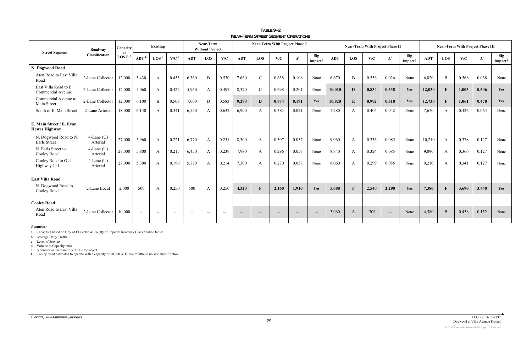| <b>Street Segment</b>                            | Roadway                   | Capacity<br>at | Existing                 |                          |                          | Near-Term<br><b>Without Project</b> |                          |       | <b>Near-Term With Project Phase I</b> |                          |                          |                              |                                 | <b>Near-Term With Project Phase II</b> |              |       |                                  |                | <b>Near-Term With Project Phase III</b> |              |       |                                  |                       |
|--------------------------------------------------|---------------------------|----------------|--------------------------|--------------------------|--------------------------|-------------------------------------|--------------------------|-------|---------------------------------------|--------------------------|--------------------------|------------------------------|---------------------------------|----------------------------------------|--------------|-------|----------------------------------|----------------|-----------------------------------------|--------------|-------|----------------------------------|-----------------------|
|                                                  | <b>Classification</b>     | <b>LOS E</b>   | ADT <sup>b</sup>         | $\text{LOS}^{\text{c}}$  | $V/C^d$                  | <b>ADT</b>                          | LOS                      | V/C   | <b>ADT</b>                            | LOS                      | V/C                      | $\mathbf{\Delta}^\mathbf{e}$ | Sig<br>Impact?                  | <b>ADT</b>                             | LOS          | V/C   | $\boldsymbol{\Delta}^\mathbf{e}$ | Sig<br>Impact? | <b>ADT</b>                              | LOS          | V/C   | $\boldsymbol{\Delta}^\mathbf{e}$ | <b>Sig</b><br>Impact? |
| N. Dogwood Road                                  |                           |                |                          |                          |                          |                                     |                          |       |                                       |                          |                          |                              |                                 |                                        |              |       |                                  |                |                                         |              |       |                                  |                       |
| Aten Road to East Villa<br>Road                  | 2-Lane Collector          | 12,000         | 5,430                    | $\mathbf{A}$             | 0.453                    | 6,360                               | $\mathbf B$              | 0.530 | 7,660                                 | $\mathcal{C}$            | 0.638                    | 0.108                        | None                            | 6,670                                  | $\, {\bf B}$ | 0.556 | 0.026                            | None           | 6,820                                   | $\mathbf B$  | 0.568 | 0.038                            | None                  |
| East Villa Road to E<br>Commercial Avenue        | 2-Lane Collector          | 12,000         | 5,060                    | $\mathbf{A}$             | 0.422                    | 5,960                               | A                        | 0.497 | 8,370                                 | $\mathcal{C}$            | 0.698                    | 0.201                        | None                            | 10,010                                 | D            | 0.834 | 0.338                            | Yes            | 12,030                                  | $\mathbf{F}$ | 1.003 | 0.506                            | Yes                   |
| Commercial Avenue to<br>Main Street              | 2-Lane Collector          | 12,000         | 6,100                    | B                        | 0.508                    | 7,000                               | B                        | 0.583 | 9,290                                 | D                        | 0.774                    | 0.191                        | Yes                             | 10,820                                 | $\bf{E}$     | 0.902 | 0.318                            | Yes            | 12,730                                  | $\mathbf{F}$ | 1.061 | 0.478                            | <b>Yes</b>            |
| South of E. Main Street                          | 2-Lane Arterial           | 18,000         | 6,140                    | A                        | 0.341                    | 6,520                               | A                        | 0.632 | 6,900                                 | A                        | 0.383                    | 0.021                        | None                            | 7,280                                  | A            | 0.404 | 0.042                            | None           | 7,670                                   | A            | 0.426 | 0.064                            | None                  |
| E. Main Street / E. Evan<br><b>Hewes Highway</b> |                           |                |                          |                          |                          |                                     |                          |       |                                       |                          |                          |                              |                                 |                                        |              |       |                                  |                |                                         |              |       |                                  |                       |
| N. Dogwood Road to N.<br>Earls Street            | $4$ -Lane (U)<br>Arterial | 27,000         | 5,960                    | $\mathbf{A}$             | 0.221                    | 6,770                               | A                        | 0.251 | 8,300                                 | A                        | 0.307                    | 0.057                        | None                            | 9,060                                  | $\mathbf{A}$ | 0.336 | 0.085                            | None           | 10,210                                  | A            | 0.378 | 0.127                            | None                  |
| N. Earls Street to<br>Cooley Road                | $4$ -Lane (U)<br>Arterial | 27,000         | 5,800                    | A                        | 0.215                    | 6,450                               | A                        | 0.239 | 7,980                                 | A                        | 0.296                    | 0.057                        | None                            | 8,740                                  | $\mathbf{A}$ | 0.324 | 0.085                            | None           | 9,890                                   | A            | 0.366 | 0.127                            | None                  |
| Cooley Road to Old<br>Highway 111                | $4$ -Lane (U)<br>Arterial | 27,000         | 5,300                    | A                        | 0.196                    | 5,770                               | A                        | 0.214 | 7,300                                 | A                        | 0.270                    | 0.057                        | None                            | 8,060                                  | $\mathbf{A}$ | 0.299 | 0.085                            | None           | 9,210                                   | A            | 0.341 | 0.127                            | None                  |
| <b>East Villa Road</b>                           |                           |                |                          |                          |                          |                                     |                          |       |                                       |                          |                          |                              |                                 |                                        |              |       |                                  |                |                                         |              |       |                                  |                       |
| N. Dogwood Road to<br>Cooley Road                | 2-Lane Local              | 2,000          | 500                      | $\mathbf{A}$             | 0.250                    | 500                                 | A                        | 0.250 | 4,320                                 |                          | 2.160                    | 1.910                        | Yes                             | 5,080                                  | $\mathbf{F}$ | 2.540 | 2.290                            | Yes            | 7,380                                   | $\mathbf{F}$ | 3.690 | 3.440                            | Yes                   |
| <b>Cooley Road</b>                               |                           |                |                          |                          |                          |                                     |                          |       |                                       |                          |                          |                              |                                 |                                        |              |       |                                  |                |                                         |              |       |                                  |                       |
| Aten Road to East Villa<br>Road                  | 2-Lane Collector          | 10,000         | $\overline{\phantom{a}}$ | $\overline{\phantom{0}}$ | $\overline{\phantom{a}}$ | $\overline{\phantom{0}}$            | $\overline{\phantom{a}}$ |       | $\overline{\phantom{m}}$              | $\overline{\phantom{a}}$ | $\overline{\phantom{m}}$ |                              | $\hspace{0.1mm}-\hspace{0.1mm}$ | 3,060                                  | A            | .306  | $\overline{\phantom{0}}$         | None           | 4,580                                   | B            | 0.458 | 0.152                            | None                  |

**TABLE 9–2 NEAR-TERM STREET SEGMENT OPERATIONS**

*Footnotes:* 

a. Capacities based on City of El Centro & County of Imperial Roadway Classification tables.

b. Average Daily Traffic.

c. Level of Service.

d. Volume to Capacity ratio.<br>e. Δ denotes an increase in V/C due to Project.<br>f. Cooley Road estimated to operate with a capacity of 10,000 ADT due to little to no side street friction.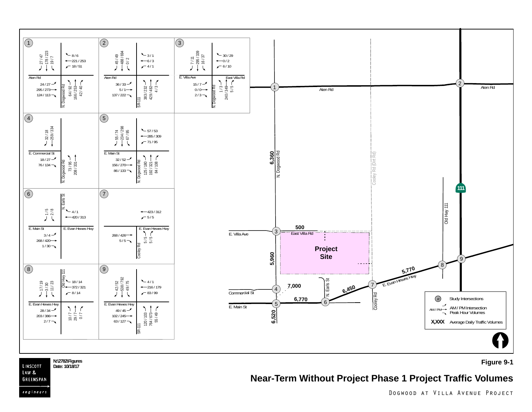

N:\2782\Figures **Figure 9-1 Properties Figure 9-1** 

# **Near-Term Without Project Phase 1 Project Traffic Volumes**

LINSCOTT LAW &

Date: 10/18/17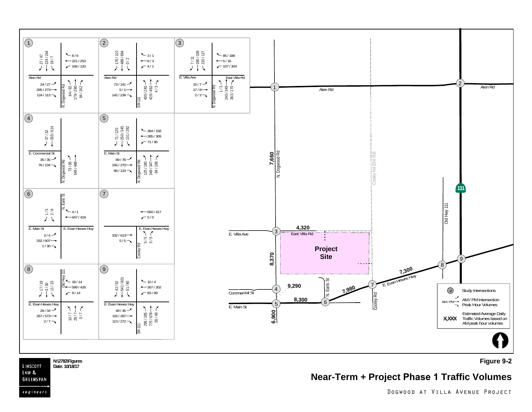

**Figure 9-2**

**N:\2782\Figures** LINSCOTT **Date: 10/18/17** LAW &

GREENSPAN

engineers

### **Near-Term + Project Phase 1 Traffic Volumes**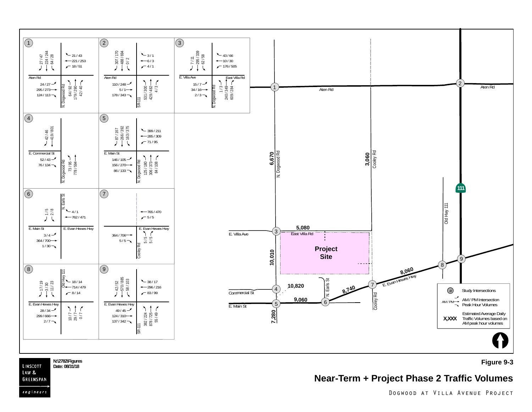

N:\2782\Figures **Proposed as a proposed as a proposed as a proposed as a proposed as a proposed as a proposed as a proposed as a proposed as a proposed as a proposed as a proposed as a proposed as a proposed as a proposed** LINSCOTT Date: 08/31/18

LAW & GREENSPAN

engineers

**Near-Term + Project Phase 2 Traffic Volumes**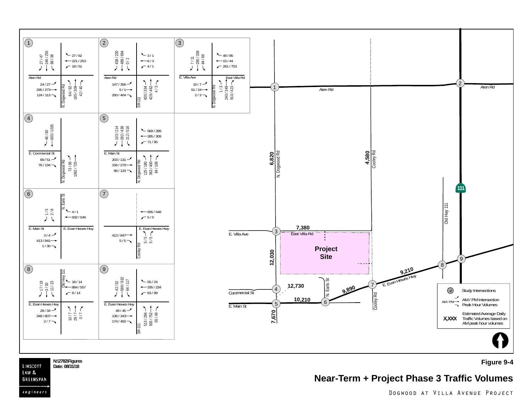

N:\2782\Figures **Proposes and Case of the Secure 20-4** Date: 08/31/18<br>Date: 08/31/18 LINSCOTT Date: 08/31/18

LAW & GREENSPAN

engineers

**Near-Term + Project Phase 3 Traffic Volumes**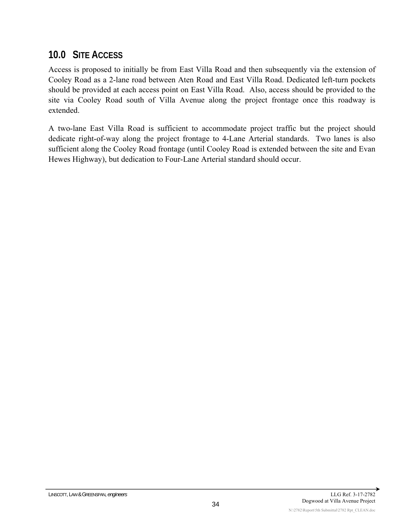# **10.0 SITE ACCESS**

Access is proposed to initially be from East Villa Road and then subsequently via the extension of Cooley Road as a 2-lane road between Aten Road and East Villa Road. Dedicated left-turn pockets should be provided at each access point on East Villa Road. Also, access should be provided to the site via Cooley Road south of Villa Avenue along the project frontage once this roadway is extended.

A two-lane East Villa Road is sufficient to accommodate project traffic but the project should dedicate right-of-way along the project frontage to 4-Lane Arterial standards. Two lanes is also sufficient along the Cooley Road frontage (until Cooley Road is extended between the site and Evan Hewes Highway), but dedication to Four-Lane Arterial standard should occur.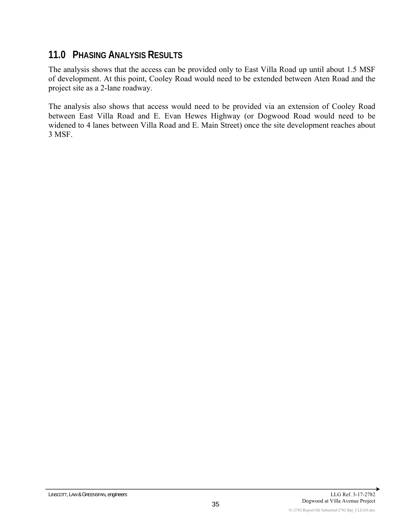### **11.0 PHASING ANALYSIS RESULTS**

The analysis shows that the access can be provided only to East Villa Road up until about 1.5 MSF of development. At this point, Cooley Road would need to be extended between Aten Road and the project site as a 2-lane roadway.

The analysis also shows that access would need to be provided via an extension of Cooley Road between East Villa Road and E. Evan Hewes Highway (or Dogwood Road would need to be widened to 4 lanes between Villa Road and E. Main Street) once the site development reaches about 3 MSF.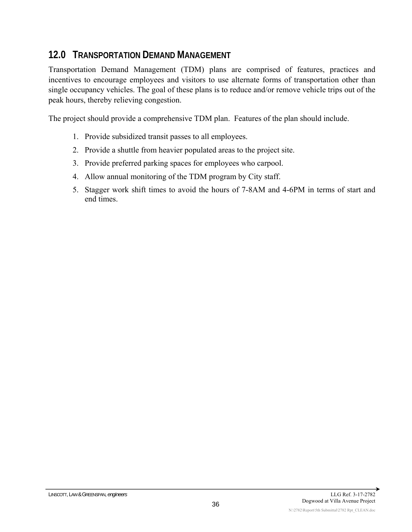# **12.0 TRANSPORTATION DEMAND MANAGEMENT**

Transportation Demand Management (TDM) plans are comprised of features, practices and incentives to encourage employees and visitors to use alternate forms of transportation other than single occupancy vehicles. The goal of these plans is to reduce and/or remove vehicle trips out of the peak hours, thereby relieving congestion.

The project should provide a comprehensive TDM plan. Features of the plan should include.

- 1. Provide subsidized transit passes to all employees.
- 2. Provide a shuttle from heavier populated areas to the project site.
- 3. Provide preferred parking spaces for employees who carpool.
- 4. Allow annual monitoring of the TDM program by City staff.
- 5. Stagger work shift times to avoid the hours of 7-8AM and 4-6PM in terms of start and end times.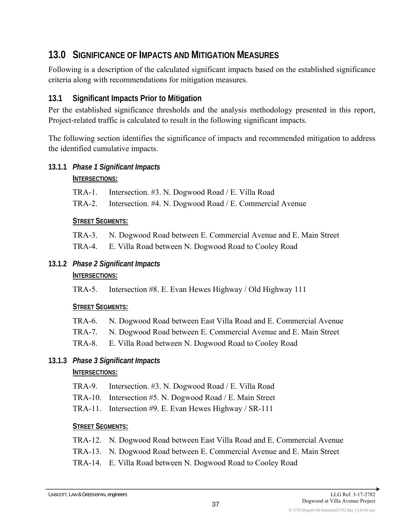# **13.0 SIGNIFICANCE OF IMPACTS AND MITIGATION MEASURES**

Following is a description of the calculated significant impacts based on the established significance criteria along with recommendations for mitigation measures.

#### **13.1 Significant Impacts Prior to Mitigation**

Per the established significance thresholds and the analysis methodology presented in this report, Project-related traffic is calculated to result in the following significant impacts.

The following section identifies the significance of impacts and recommended mitigation to address the identified cumulative impacts.

#### **13.1.1** *Phase 1 Significant Impacts*

#### **INTERSECTIONS:**

TRA-1. Intersection. #3. N. Dogwood Road / E. Villa Road

TRA-2. Intersection. #4. N. Dogwood Road / E. Commercial Avenue

#### **STREET SEGMENTS:**

- TRA-3. N. Dogwood Road between E. Commercial Avenue and E. Main Street
- TRA-4. E. Villa Road between N. Dogwood Road to Cooley Road

#### **13.1.2** *Phase 2 Significant Impacts*

#### **INTERSECTIONS:**

TRA-5. Intersection #8. E. Evan Hewes Highway / Old Highway 111

#### **STREET SEGMENTS:**

- TRA-6. N. Dogwood Road between East Villa Road and E. Commercial Avenue
- TRA-7. N. Dogwood Road between E. Commercial Avenue and E. Main Street
- TRA-8. E. Villa Road between N. Dogwood Road to Cooley Road

#### **13.1.3** *Phase 3 Significant Impacts*

#### **INTERSECTIONS:**

- TRA-9. Intersection. #3. N. Dogwood Road / E. Villa Road
- TRA-10. Intersection #5. N. Dogwood Road / E. Main Street
- TRA-11. Intersection #9. E. Evan Hewes Highway / SR-111

#### **STREET SEGMENTS:**

- TRA-12. N. Dogwood Road between East Villa Road and E. Commercial Avenue
- TRA-13. N. Dogwood Road between E. Commercial Avenue and E. Main Street
- TRA-14. E. Villa Road between N. Dogwood Road to Cooley Road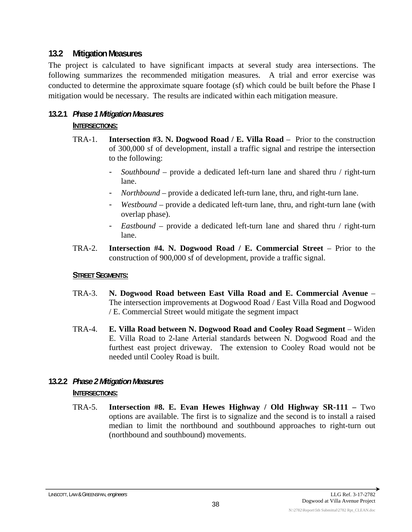#### **13.2 Mitigation Measures**

The project is calculated to have significant impacts at several study area intersections. The following summarizes the recommended mitigation measures. A trial and error exercise was conducted to determine the approximate square footage (sf) which could be built before the Phase I mitigation would be necessary. The results are indicated within each mitigation measure.

#### **13.2.1** *Phase 1 Mitigation Measures*  **INTERSECTIONS:**

- TRA-1. **Intersection #3. N. Dogwood Road / E. Villa Road** Prior to the construction of 300,000 sf of development, install a traffic signal and restripe the intersection to the following:
	- *Southbound*  provide a dedicated left-turn lane and shared thru / right-turn lane.
	- *Northbound*  provide a dedicated left-turn lane, thru, and right-turn lane.
	- *Westbound –* provide a dedicated left-turn lane, thru, and right-turn lane (with overlap phase).
	- *Eastbound* provide a dedicated left-turn lane and shared thru / right-turn lane.
- TRA-2. **Intersection #4. N. Dogwood Road / E. Commercial Street**  Prior to the construction of 900,000 sf of development, provide a traffic signal.

#### **STREET SEGMENTS:**

- TRA-3. **N. Dogwood Road between East Villa Road and E. Commercial Avenue**  The intersection improvements at Dogwood Road / East Villa Road and Dogwood / E. Commercial Street would mitigate the segment impact
- TRA-4. **E. Villa Road between N. Dogwood Road and Cooley Road Segment** Widen E. Villa Road to 2-lane Arterial standards between N. Dogwood Road and the furthest east project driveway. The extension to Cooley Road would not be needed until Cooley Road is built.

# **13.2.2** *Phase 2 Mitigation Measures*

#### **INTERSECTIONS:**

TRA-5. **Intersection #8. E. Evan Hewes Highway / Old Highway SR-111 –** Two options are available. The first is to signalize and the second is to install a raised median to limit the northbound and southbound approaches to right-turn out (northbound and southbound) movements.

#### LINSCOTT, LAW & GREENSPAN, *engineers* LLG Ref. 3-17-2782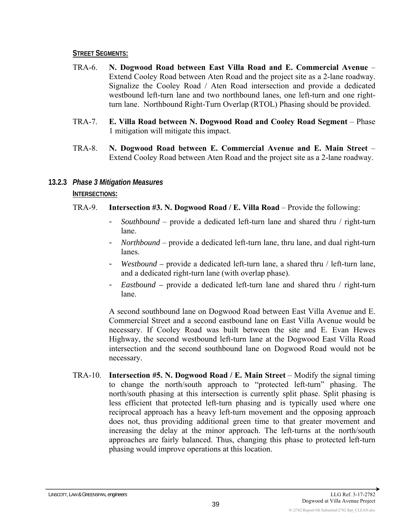#### **STREET SEGMENTS:**

- TRA-6. **N. Dogwood Road between East Villa Road and E. Commercial Avenue**  Extend Cooley Road between Aten Road and the project site as a 2-lane roadway. Signalize the Cooley Road / Aten Road intersection and provide a dedicated westbound left-turn lane and two northbound lanes, one left-turn and one rightturn lane. Northbound Right-Turn Overlap (RTOL) Phasing should be provided.
- TRA-7. **E. Villa Road between N. Dogwood Road and Cooley Road Segment** Phase 1 mitigation will mitigate this impact.
- TRA-8. **N. Dogwood Road between E. Commercial Avenue and E. Main Street** Extend Cooley Road between Aten Road and the project site as a 2-lane roadway.
- **13.2.3** *Phase 3 Mitigation Measures*

#### **INTERSECTIONS:**

- TRA-9. **Intersection #3. N. Dogwood Road / E. Villa Road** Provide the following:
	- *Southbound*  provide a dedicated left-turn lane and shared thru / right-turn lane.
	- *Northbound* provide a dedicated left-turn lane, thru lane, and dual right-turn lanes.
	- *Westbound* provide a dedicated left-turn lane, a shared thru / left-turn lane, and a dedicated right-turn lane (with overlap phase).
	- *Eastbound* provide a dedicated left-turn lane and shared thru / right-turn lane.

A second southbound lane on Dogwood Road between East Villa Avenue and E. Commercial Street and a second eastbound lane on East Villa Avenue would be necessary. If Cooley Road was built between the site and E. Evan Hewes Highway, the second westbound left-turn lane at the Dogwood East Villa Road intersection and the second southbound lane on Dogwood Road would not be necessary.

TRA-10. **Intersection #5. N. Dogwood Road / E. Main Street** – Modify the signal timing to change the north/south approach to "protected left-turn" phasing. The north/south phasing at this intersection is currently split phase. Split phasing is less efficient that protected left-turn phasing and is typically used where one reciprocal approach has a heavy left-turn movement and the opposing approach does not, thus providing additional green time to that greater movement and increasing the delay at the minor approach. The left-turns at the north/south approaches are fairly balanced. Thus, changing this phase to protected left-turn phasing would improve operations at this location.

N:\2782\Report\5th Submittal\2782 Rpt\_CLEAN.doc